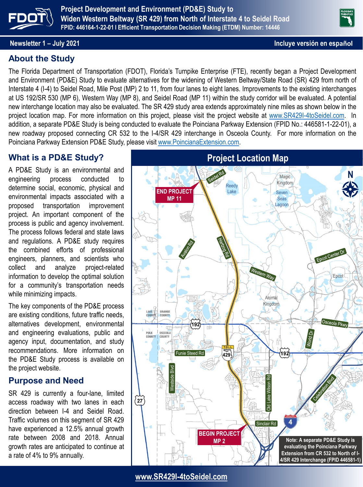

**Project Development and Environment (PD&E) Study to Widen Western Beltway (SR 429) from North of Interstate 4 to Seidel Road FPID: 446164-1-22-01 l Efficient Transportation Decision Making (ETDM) Number: 14446**

#### **Newsletter 1 – July 2021 Incluye versión en español**

#### **About the Study**

The Florida Department of Transportation (FDOT), Florida's Turnpike Enterprise (FTE), recently began a Project Development and Environment (PD&E) Study to evaluate alternatives for the widening of Western Beltway/State Road (SR) 429 from north of Interstate 4 (I-4) to Seidel Road, Mile Post (MP) 2 to 11, from four lanes to eight lanes. Improvements to the existing interchanges at US 192/SR 530 (MP 6), Western Way (MP 8), and Seidel Road (MP 11) within the study corridor will be evaluated. A potential new interchange location may also be evaluated. The SR 429 study area extends approximately nine miles as shown below in the project location map. For more information on this project, please visit the project website at [www.SR429I-4toSeidel.com.](http://www.sr429i-4toseidel.com/) In addition, a separate PD&E Study is being conducted to evaluate the Poinciana Parkway Extension (FPID No.: 446581-1-22-01), a new roadway proposed connecting CR 532 to the I-4/SR 429 interchange in Osceola County. For more information on the Poinciana Parkway Extension PD&E Study, please visit [www.PoincianaExtension.com](http://www.poincianaextension.com/).

#### **What is a PD&E Study?**

A PD&E Study is an environmental and engineering process conducted to determine social, economic, physical and environmental impacts associated with a proposed transportation improvement project. An important component of the process is public and agency involvement. The process follows federal and state laws and regulations. A PD&E study requires the combined efforts of professional engineers, planners, and scientists who collect and analyze project-related information to develop the optimal solution for a community's transportation needs while minimizing impacts.

The key components of the PD&E process are existing conditions, future traffic needs, alternatives development, environmental and engineering evaluations, public and agency input, documentation, and study recommendations. More information on the PD&E Study process is available on the project website.

#### **Purpose and Need**

SR 429 is currently a four-lane, limited access roadway with two lanes in each direction between I-4 and Seidel Road. Traffic volumes on this segment of SR 429 have experienced a 12.5% annual growth rate between 2008 and 2018. Annual growth rates are anticipated to continue at a rate of 4% to 9% annually.



**[www.SR429I-4toSeidel.com](http://www.sr429i-4toseidel.com/)**